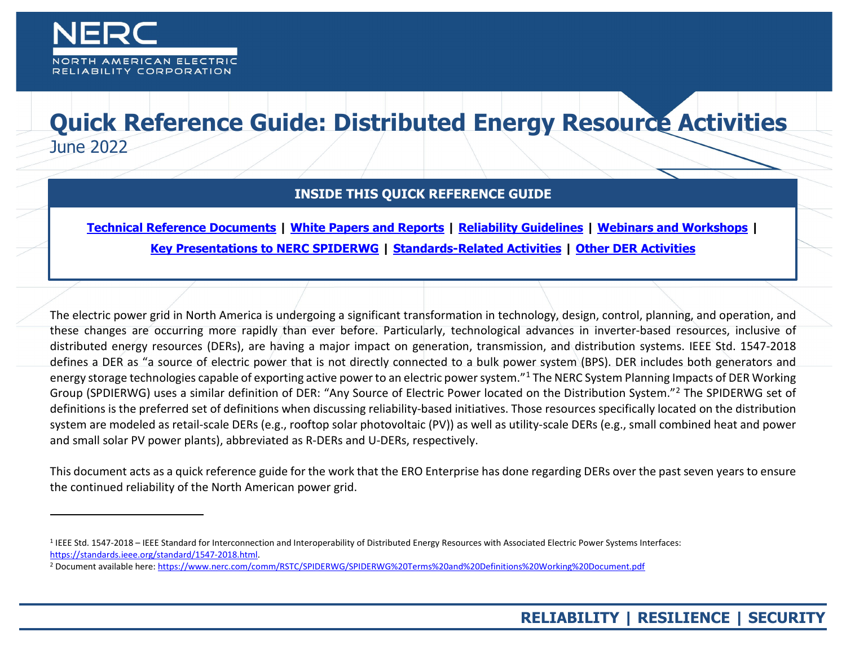

-

## **Quick Reference Guide: Distributed Energy Resource Activities**  June 2022

## <span id="page-0-1"></span><span id="page-0-0"></span>**INSIDE THIS QUICK REFERENCE GUIDE**

**[Technical Reference Documents](#page-1-0) | [White Papers and Reports](#page-3-0) | [Reliability Guidelines](#page-5-0) | [Webinars and Workshops](#page-7-0) | [Key Presentations to NERC SPIDERWG](#page-8-0) | [Standards-Related Activities](#page-9-0) | Other DER [Activities](#page-10-0)**

The electric power grid in North America is undergoing a significant transformation in technology, design, control, planning, and operation, and these changes are occurring more rapidly than ever before. Particularly, technological advances in inverter-based resources, inclusive of distributed energy resources (DERs), are having a major impact on generation, transmission, and distribution systems. IEEE Std. 1547-2018 defines a DER as "a source of electric power that is not directly connected to a bulk power system (BPS). DER includes both generators and energy storage technologies capable of exporting active power to an electric power system."<sup>[1](#page-0-0)</sup> The NERC System Planning Impacts of DER Working Group (SPDIERWG) uses a similar definition of DER: "Any Source of Electric Power located on the Distribution System."[2](#page-0-1) The SPIDERWG set of definitions is the preferred set of definitions when discussing reliability-based initiatives. Those resources specifically located on the distribution system are modeled as retail-scale DERs (e.g., rooftop solar photovoltaic (PV)) as well as utility-scale DERs (e.g., small combined heat and power and small solar PV power plants), abbreviated as R-DERs and U-DERs, respectively.

This document acts as a quick reference guide for the work that the ERO Enterprise has done regarding DERs over the past seven years to ensure the continued reliability of the North American power grid.

<sup>&</sup>lt;sup>1</sup> IEEE Std. 1547-2018 – IEEE Standard for Interconnection and Interoperability of Distributed Energy Resources with Associated Electric Power Systems Interfaces: [https://standards.ieee.org/standard/1547-2018.html.](https://standards.ieee.org/standard/1547-2018.html)

<sup>2</sup> Document available here:<https://www.nerc.com/comm/RSTC/SPIDERWG/SPIDERWG%20Terms%20and%20Definitions%20Working%20Document.pdf>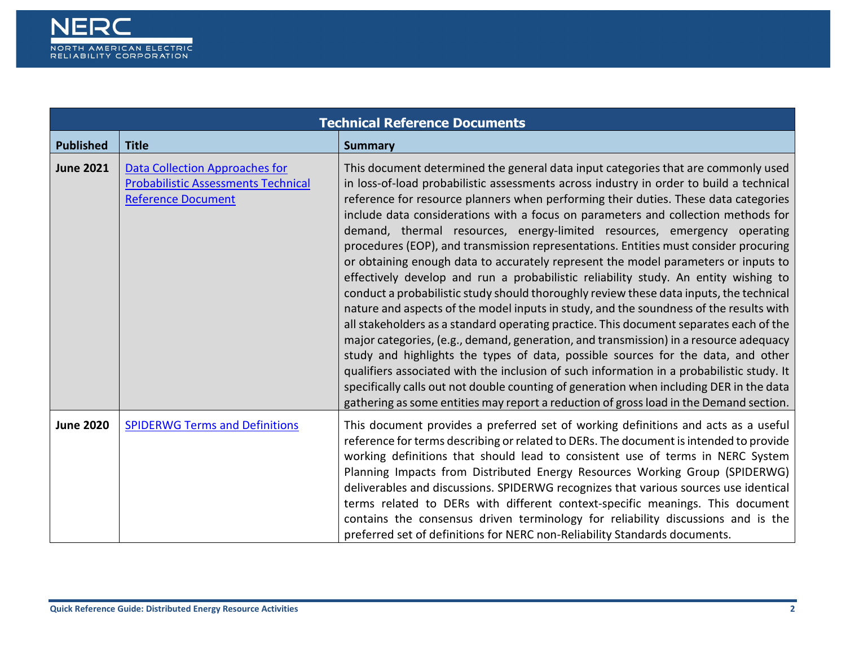<span id="page-1-0"></span>

| <b>Technical Reference Documents</b> |                                                                                                                  |                                                                                                                                                                                                                                                                                                                                                                                                                                                                                                                                                                                                                                                                                                                                                                                                                                                                                                                                                                                                                                                                                                                                                                                                                                                                                                                                                                                                                                                         |
|--------------------------------------|------------------------------------------------------------------------------------------------------------------|---------------------------------------------------------------------------------------------------------------------------------------------------------------------------------------------------------------------------------------------------------------------------------------------------------------------------------------------------------------------------------------------------------------------------------------------------------------------------------------------------------------------------------------------------------------------------------------------------------------------------------------------------------------------------------------------------------------------------------------------------------------------------------------------------------------------------------------------------------------------------------------------------------------------------------------------------------------------------------------------------------------------------------------------------------------------------------------------------------------------------------------------------------------------------------------------------------------------------------------------------------------------------------------------------------------------------------------------------------------------------------------------------------------------------------------------------------|
| <b>Published</b>                     | <b>Title</b>                                                                                                     | <b>Summary</b>                                                                                                                                                                                                                                                                                                                                                                                                                                                                                                                                                                                                                                                                                                                                                                                                                                                                                                                                                                                                                                                                                                                                                                                                                                                                                                                                                                                                                                          |
| <b>June 2021</b>                     | <b>Data Collection Approaches for</b><br><b>Probabilistic Assessments Technical</b><br><b>Reference Document</b> | This document determined the general data input categories that are commonly used<br>in loss-of-load probabilistic assessments across industry in order to build a technical<br>reference for resource planners when performing their duties. These data categories<br>include data considerations with a focus on parameters and collection methods for<br>demand, thermal resources, energy-limited resources, emergency operating<br>procedures (EOP), and transmission representations. Entities must consider procuring<br>or obtaining enough data to accurately represent the model parameters or inputs to<br>effectively develop and run a probabilistic reliability study. An entity wishing to<br>conduct a probabilistic study should thoroughly review these data inputs, the technical<br>nature and aspects of the model inputs in study, and the soundness of the results with<br>all stakeholders as a standard operating practice. This document separates each of the<br>major categories, (e.g., demand, generation, and transmission) in a resource adequacy<br>study and highlights the types of data, possible sources for the data, and other<br>qualifiers associated with the inclusion of such information in a probabilistic study. It<br>specifically calls out not double counting of generation when including DER in the data<br>gathering as some entities may report a reduction of gross load in the Demand section. |
| <b>June 2020</b>                     | <b>SPIDERWG Terms and Definitions</b>                                                                            | This document provides a preferred set of working definitions and acts as a useful<br>reference for terms describing or related to DERs. The document is intended to provide<br>working definitions that should lead to consistent use of terms in NERC System<br>Planning Impacts from Distributed Energy Resources Working Group (SPIDERWG)<br>deliverables and discussions. SPIDERWG recognizes that various sources use identical<br>terms related to DERs with different context-specific meanings. This document<br>contains the consensus driven terminology for reliability discussions and is the<br>preferred set of definitions for NERC non-Reliability Standards documents.                                                                                                                                                                                                                                                                                                                                                                                                                                                                                                                                                                                                                                                                                                                                                                |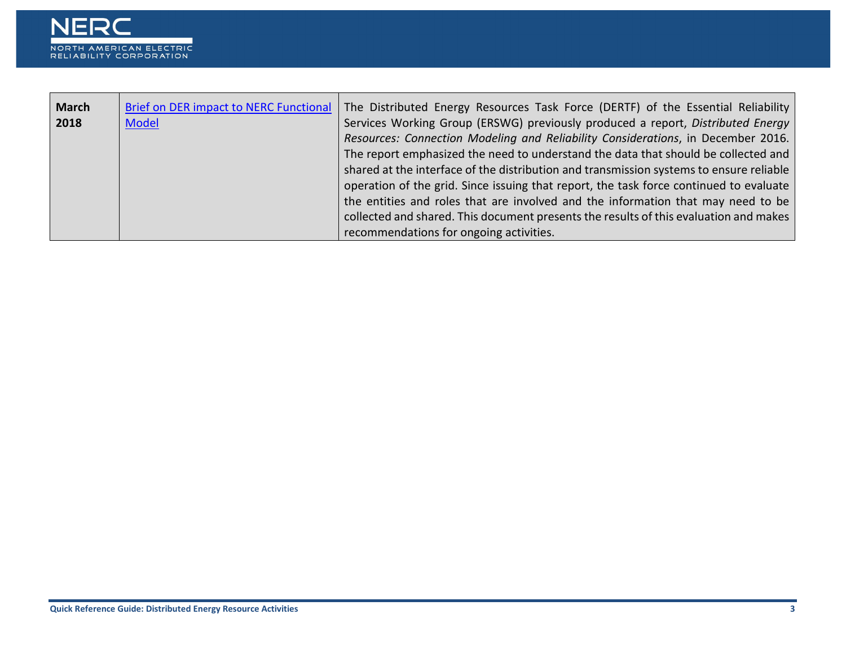

| <b>March</b> | <b>Brief on DER impact to NERC Functional</b> | The Distributed Energy Resources Task Force (DERTF) of the Essential Reliability        |
|--------------|-----------------------------------------------|-----------------------------------------------------------------------------------------|
|              |                                               |                                                                                         |
| 2018         | <b>Model</b>                                  | Services Working Group (ERSWG) previously produced a report, Distributed Energy         |
|              |                                               | Resources: Connection Modeling and Reliability Considerations, in December 2016.        |
|              |                                               | The report emphasized the need to understand the data that should be collected and      |
|              |                                               | shared at the interface of the distribution and transmission systems to ensure reliable |
|              |                                               | operation of the grid. Since issuing that report, the task force continued to evaluate  |
|              |                                               | the entities and roles that are involved and the information that may need to be        |
|              |                                               | collected and shared. This document presents the results of this evaluation and makes   |
|              |                                               | recommendations for ongoing activities.                                                 |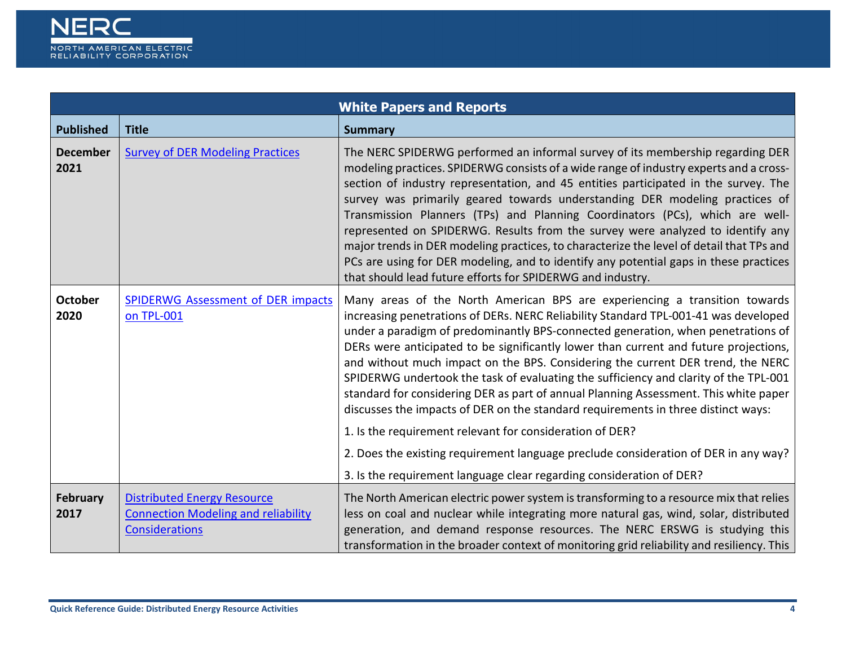<span id="page-3-0"></span>

|                         | <b>White Papers and Reports</b>                                                                           |                                                                                                                                                                                                                                                                                                                                                                                                                                                                                                                                                                                                                                                                                                                                                                     |  |
|-------------------------|-----------------------------------------------------------------------------------------------------------|---------------------------------------------------------------------------------------------------------------------------------------------------------------------------------------------------------------------------------------------------------------------------------------------------------------------------------------------------------------------------------------------------------------------------------------------------------------------------------------------------------------------------------------------------------------------------------------------------------------------------------------------------------------------------------------------------------------------------------------------------------------------|--|
| <b>Published</b>        | <b>Title</b>                                                                                              | <b>Summary</b>                                                                                                                                                                                                                                                                                                                                                                                                                                                                                                                                                                                                                                                                                                                                                      |  |
| <b>December</b><br>2021 | <b>Survey of DER Modeling Practices</b>                                                                   | The NERC SPIDERWG performed an informal survey of its membership regarding DER<br>modeling practices. SPIDERWG consists of a wide range of industry experts and a cross-<br>section of industry representation, and 45 entities participated in the survey. The<br>survey was primarily geared towards understanding DER modeling practices of<br>Transmission Planners (TPs) and Planning Coordinators (PCs), which are well-<br>represented on SPIDERWG. Results from the survey were analyzed to identify any<br>major trends in DER modeling practices, to characterize the level of detail that TPs and<br>PCs are using for DER modeling, and to identify any potential gaps in these practices<br>that should lead future efforts for SPIDERWG and industry. |  |
| October<br>2020         | <b>SPIDERWG Assessment of DER impacts</b><br>on TPL-001                                                   | Many areas of the North American BPS are experiencing a transition towards<br>increasing penetrations of DERs. NERC Reliability Standard TPL-001-41 was developed<br>under a paradigm of predominantly BPS-connected generation, when penetrations of<br>DERs were anticipated to be significantly lower than current and future projections,<br>and without much impact on the BPS. Considering the current DER trend, the NERC<br>SPIDERWG undertook the task of evaluating the sufficiency and clarity of the TPL-001<br>standard for considering DER as part of annual Planning Assessment. This white paper<br>discusses the impacts of DER on the standard requirements in three distinct ways:                                                               |  |
|                         |                                                                                                           | 1. Is the requirement relevant for consideration of DER?                                                                                                                                                                                                                                                                                                                                                                                                                                                                                                                                                                                                                                                                                                            |  |
|                         |                                                                                                           | 2. Does the existing requirement language preclude consideration of DER in any way?                                                                                                                                                                                                                                                                                                                                                                                                                                                                                                                                                                                                                                                                                 |  |
|                         |                                                                                                           | 3. Is the requirement language clear regarding consideration of DER?                                                                                                                                                                                                                                                                                                                                                                                                                                                                                                                                                                                                                                                                                                |  |
| February<br>2017        | <b>Distributed Energy Resource</b><br><b>Connection Modeling and reliability</b><br><b>Considerations</b> | The North American electric power system is transforming to a resource mix that relies<br>less on coal and nuclear while integrating more natural gas, wind, solar, distributed<br>generation, and demand response resources. The NERC ERSWG is studying this<br>transformation in the broader context of monitoring grid reliability and resiliency. This                                                                                                                                                                                                                                                                                                                                                                                                          |  |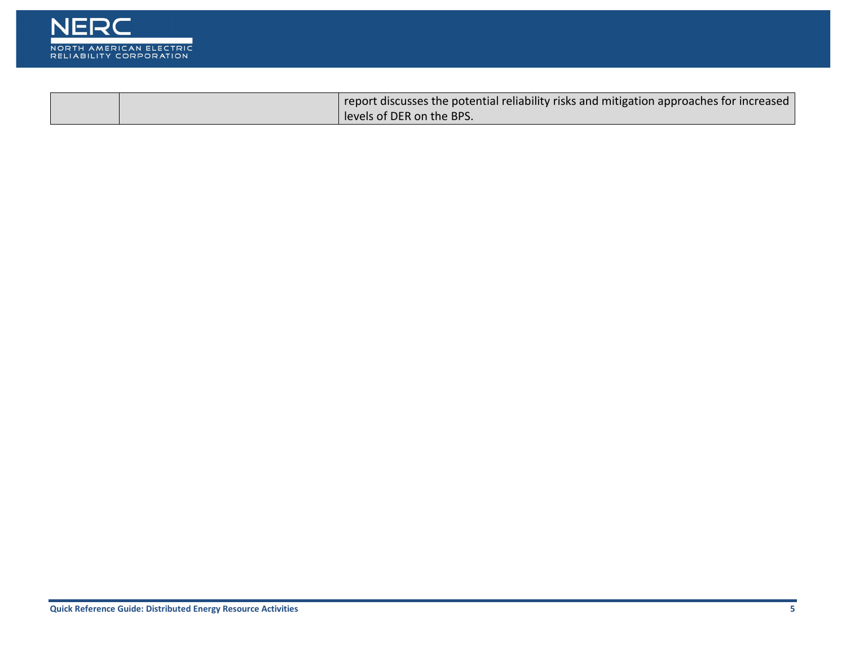

|  | report discusses the potential reliability risks and mitigation approaches for increased |
|--|------------------------------------------------------------------------------------------|
|  | levels of DER on the BPS.                                                                |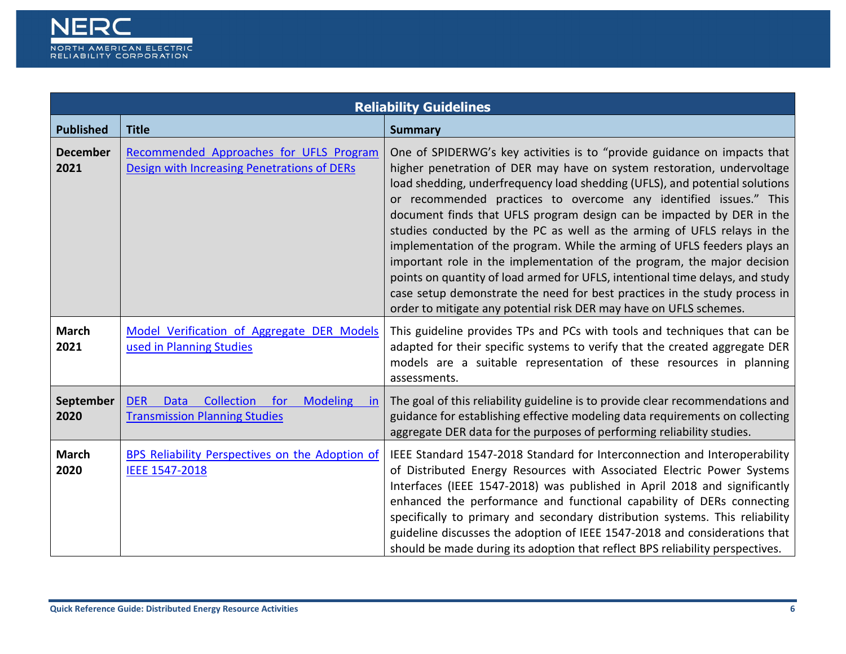

<span id="page-5-0"></span>

| <b>Reliability Guidelines</b> |                                                                                                                  |                                                                                                                                                                                                                                                                                                                                                                                                                                                                                                                                                                                                                                                                                                                                                                                                                                                        |  |
|-------------------------------|------------------------------------------------------------------------------------------------------------------|--------------------------------------------------------------------------------------------------------------------------------------------------------------------------------------------------------------------------------------------------------------------------------------------------------------------------------------------------------------------------------------------------------------------------------------------------------------------------------------------------------------------------------------------------------------------------------------------------------------------------------------------------------------------------------------------------------------------------------------------------------------------------------------------------------------------------------------------------------|--|
| <b>Published</b>              | <b>Title</b>                                                                                                     | <b>Summary</b>                                                                                                                                                                                                                                                                                                                                                                                                                                                                                                                                                                                                                                                                                                                                                                                                                                         |  |
| <b>December</b><br>2021       | Recommended Approaches for UFLS Program<br>Design with Increasing Penetrations of DERs                           | One of SPIDERWG's key activities is to "provide guidance on impacts that<br>higher penetration of DER may have on system restoration, undervoltage<br>load shedding, underfrequency load shedding (UFLS), and potential solutions<br>or recommended practices to overcome any identified issues." This<br>document finds that UFLS program design can be impacted by DER in the<br>studies conducted by the PC as well as the arming of UFLS relays in the<br>implementation of the program. While the arming of UFLS feeders plays an<br>important role in the implementation of the program, the major decision<br>points on quantity of load armed for UFLS, intentional time delays, and study<br>case setup demonstrate the need for best practices in the study process in<br>order to mitigate any potential risk DER may have on UFLS schemes. |  |
| <b>March</b><br>2021          | Model Verification of Aggregate DER Models<br>used in Planning Studies                                           | This guideline provides TPs and PCs with tools and techniques that can be<br>adapted for their specific systems to verify that the created aggregate DER<br>models are a suitable representation of these resources in planning<br>assessments.                                                                                                                                                                                                                                                                                                                                                                                                                                                                                                                                                                                                        |  |
| September<br>2020             | Collection<br>for<br><b>Modeling</b><br><b>DER</b><br><b>Data</b><br>-in<br><b>Transmission Planning Studies</b> | The goal of this reliability guideline is to provide clear recommendations and<br>guidance for establishing effective modeling data requirements on collecting<br>aggregate DER data for the purposes of performing reliability studies.                                                                                                                                                                                                                                                                                                                                                                                                                                                                                                                                                                                                               |  |
| <b>March</b><br>2020          | BPS Reliability Perspectives on the Adoption of<br>IEEE 1547-2018                                                | IEEE Standard 1547-2018 Standard for Interconnection and Interoperability<br>of Distributed Energy Resources with Associated Electric Power Systems<br>Interfaces (IEEE 1547-2018) was published in April 2018 and significantly<br>enhanced the performance and functional capability of DERs connecting<br>specifically to primary and secondary distribution systems. This reliability<br>guideline discusses the adoption of IEEE 1547-2018 and considerations that<br>should be made during its adoption that reflect BPS reliability perspectives.                                                                                                                                                                                                                                                                                               |  |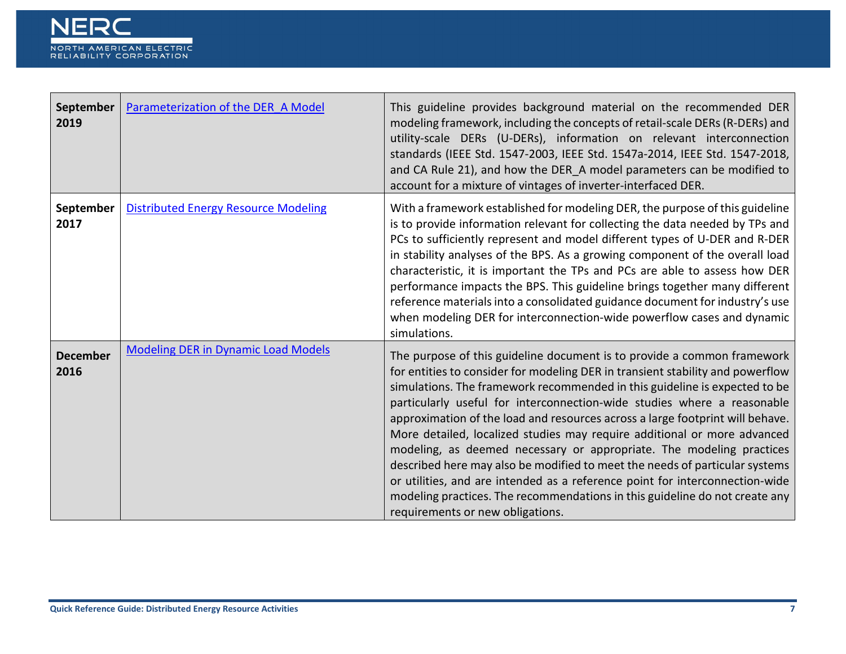

| September<br>2019       | Parameterization of the DER A Model         | This guideline provides background material on the recommended DER<br>modeling framework, including the concepts of retail-scale DERs (R-DERs) and<br>utility-scale DERs (U-DERs), information on relevant interconnection<br>standards (IEEE Std. 1547-2003, IEEE Std. 1547a-2014, IEEE Std. 1547-2018,<br>and CA Rule 21), and how the DER_A model parameters can be modified to<br>account for a mixture of vintages of inverter-interfaced DER.                                                                                                                                                                                                                                                                                                                                                                                       |
|-------------------------|---------------------------------------------|-------------------------------------------------------------------------------------------------------------------------------------------------------------------------------------------------------------------------------------------------------------------------------------------------------------------------------------------------------------------------------------------------------------------------------------------------------------------------------------------------------------------------------------------------------------------------------------------------------------------------------------------------------------------------------------------------------------------------------------------------------------------------------------------------------------------------------------------|
| September<br>2017       | <b>Distributed Energy Resource Modeling</b> | With a framework established for modeling DER, the purpose of this guideline<br>is to provide information relevant for collecting the data needed by TPs and<br>PCs to sufficiently represent and model different types of U-DER and R-DER<br>in stability analyses of the BPS. As a growing component of the overall load<br>characteristic, it is important the TPs and PCs are able to assess how DER<br>performance impacts the BPS. This guideline brings together many different<br>reference materials into a consolidated guidance document for industry's use<br>when modeling DER for interconnection-wide powerflow cases and dynamic<br>simulations.                                                                                                                                                                          |
| <b>December</b><br>2016 | <b>Modeling DER in Dynamic Load Models</b>  | The purpose of this guideline document is to provide a common framework<br>for entities to consider for modeling DER in transient stability and powerflow<br>simulations. The framework recommended in this guideline is expected to be<br>particularly useful for interconnection-wide studies where a reasonable<br>approximation of the load and resources across a large footprint will behave.<br>More detailed, localized studies may require additional or more advanced<br>modeling, as deemed necessary or appropriate. The modeling practices<br>described here may also be modified to meet the needs of particular systems<br>or utilities, and are intended as a reference point for interconnection-wide<br>modeling practices. The recommendations in this guideline do not create any<br>requirements or new obligations. |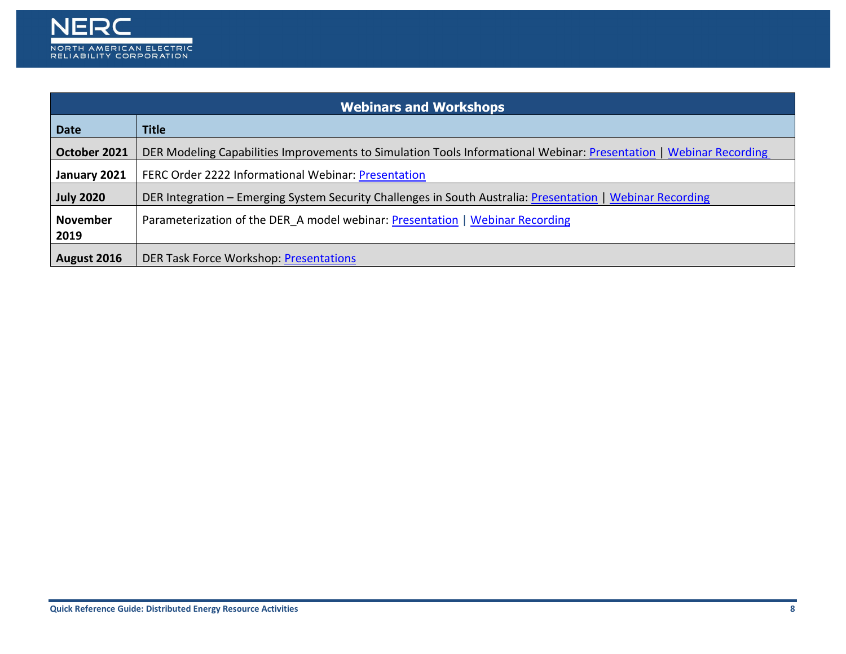

<span id="page-7-0"></span>

| <b>Webinars and Workshops</b> |                                                                                                                    |  |
|-------------------------------|--------------------------------------------------------------------------------------------------------------------|--|
| <b>Date</b>                   | <b>Title</b>                                                                                                       |  |
| October 2021                  | DER Modeling Capabilities Improvements to Simulation Tools Informational Webinar: Presentation   Webinar Recording |  |
| January 2021                  | <b>FERC Order 2222 Informational Webinar: Presentation</b>                                                         |  |
| <b>July 2020</b>              | DER Integration – Emerging System Security Challenges in South Australia: Presentation   Webinar Recording         |  |
| <b>November</b><br>2019       | Parameterization of the DER A model webinar: Presentation   Webinar Recording                                      |  |
| August 2016                   | <b>DER Task Force Workshop: Presentations</b>                                                                      |  |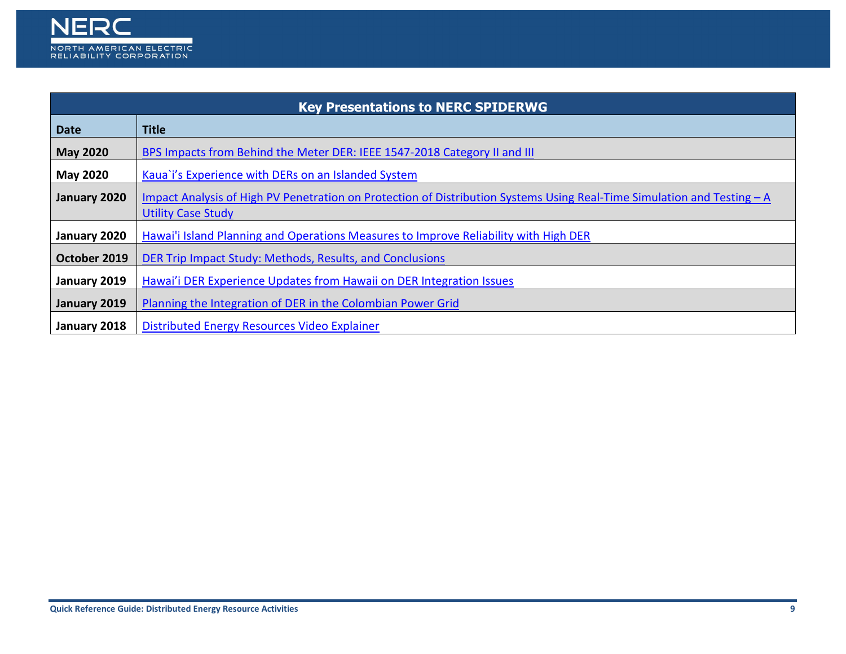

<span id="page-8-0"></span>

| <b>Key Presentations to NERC SPIDERWG</b> |                                                                                                                                                      |  |
|-------------------------------------------|------------------------------------------------------------------------------------------------------------------------------------------------------|--|
| <b>Date</b>                               | <b>Title</b>                                                                                                                                         |  |
| <b>May 2020</b>                           | BPS Impacts from Behind the Meter DER: IEEE 1547-2018 Category II and III                                                                            |  |
| <b>May 2020</b>                           | Kaua`i's Experience with DERs on an Islanded System                                                                                                  |  |
| January 2020                              | Impact Analysis of High PV Penetration on Protection of Distribution Systems Using Real-Time Simulation and Testing – A<br><b>Utility Case Study</b> |  |
| January 2020                              | Hawai'i Island Planning and Operations Measures to Improve Reliability with High DER                                                                 |  |
| October 2019                              | DER Trip Impact Study: Methods, Results, and Conclusions                                                                                             |  |
| January 2019                              | Hawai'i DER Experience Updates from Hawaii on DER Integration Issues                                                                                 |  |
| January 2019                              | Planning the Integration of DER in the Colombian Power Grid                                                                                          |  |
| January 2018                              | Distributed Energy Resources Video Explainer                                                                                                         |  |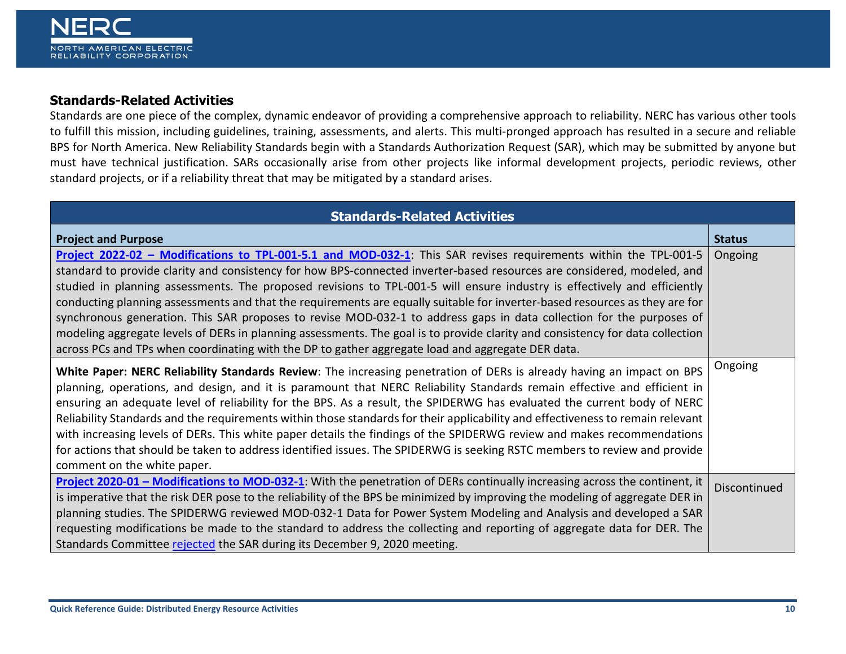## <span id="page-9-0"></span>**Standards-Related Activities**

Standards are one piece of the complex, dynamic endeavor of providing a comprehensive approach to reliability. NERC has various other tools to fulfill this mission, including guidelines, training, assessments, and alerts. This multi-pronged approach has resulted in a secure and reliable BPS for North America. New Reliability Standards begin with a Standards Authorization Request (SAR), which may be submitted by anyone but must have technical justification. SARs occasionally arise from other projects like informal development projects, periodic reviews, other standard projects, or if a reliability threat that may be mitigated by a standard arises.

| <b>Standards-Related Activities</b>                                                                                            |                     |
|--------------------------------------------------------------------------------------------------------------------------------|---------------------|
| <b>Project and Purpose</b>                                                                                                     | <b>Status</b>       |
| Project 2022-02 - Modifications to TPL-001-5.1 and MOD-032-1: This SAR revises requirements within the TPL-001-5               | Ongoing             |
| standard to provide clarity and consistency for how BPS-connected inverter-based resources are considered, modeled, and        |                     |
| studied in planning assessments. The proposed revisions to TPL-001-5 will ensure industry is effectively and efficiently       |                     |
| conducting planning assessments and that the requirements are equally suitable for inverter-based resources as they are for    |                     |
| synchronous generation. This SAR proposes to revise MOD-032-1 to address gaps in data collection for the purposes of           |                     |
| modeling aggregate levels of DERs in planning assessments. The goal is to provide clarity and consistency for data collection  |                     |
| across PCs and TPs when coordinating with the DP to gather aggregate load and aggregate DER data.                              |                     |
| White Paper: NERC Reliability Standards Review: The increasing penetration of DERs is already having an impact on BPS          | Ongoing             |
| planning, operations, and design, and it is paramount that NERC Reliability Standards remain effective and efficient in        |                     |
| ensuring an adequate level of reliability for the BPS. As a result, the SPIDERWG has evaluated the current body of NERC        |                     |
| Reliability Standards and the requirements within those standards for their applicability and effectiveness to remain relevant |                     |
| with increasing levels of DERs. This white paper details the findings of the SPIDERWG review and makes recommendations         |                     |
| for actions that should be taken to address identified issues. The SPIDERWG is seeking RSTC members to review and provide      |                     |
| comment on the white paper.                                                                                                    |                     |
| Project 2020-01 – Modifications to MOD-032-1: With the penetration of DERs continually increasing across the continent, it     | <b>Discontinued</b> |
| is imperative that the risk DER pose to the reliability of the BPS be minimized by improving the modeling of aggregate DER in  |                     |
| planning studies. The SPIDERWG reviewed MOD-032-1 Data for Power System Modeling and Analysis and developed a SAR              |                     |
| requesting modifications be made to the standard to address the collecting and reporting of aggregate data for DER. The        |                     |
| Standards Committee rejected the SAR during its December 9, 2020 meeting.                                                      |                     |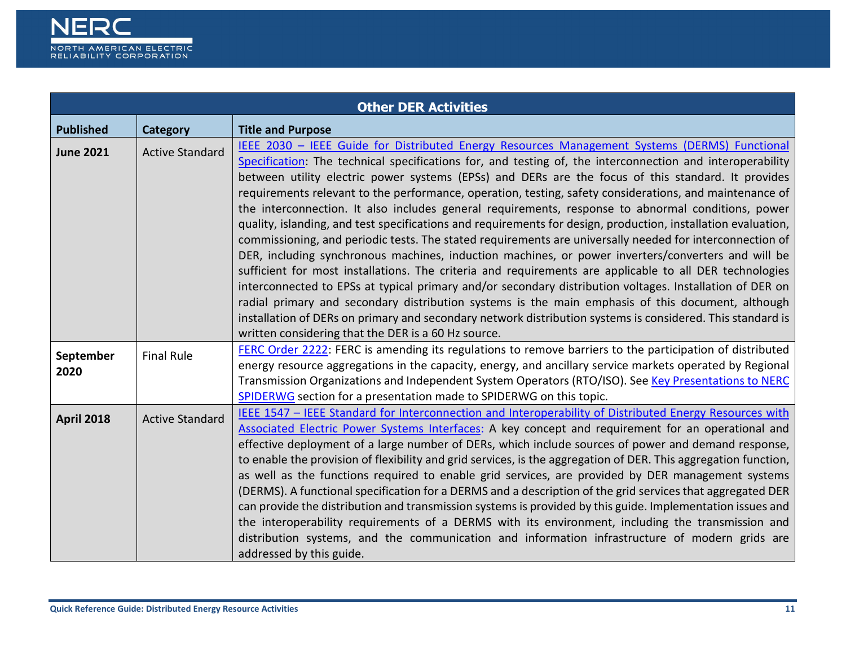

<span id="page-10-0"></span>

| <b>Other DER Activities</b> |                        |                                                                                                                                                                                                                                                                                                                                                                                                                                                                                                                                                                                                                                                                                                                                                                                                                                                                                                                                                                                                                                                                                                                                                                                                                                                                                                                                                                       |
|-----------------------------|------------------------|-----------------------------------------------------------------------------------------------------------------------------------------------------------------------------------------------------------------------------------------------------------------------------------------------------------------------------------------------------------------------------------------------------------------------------------------------------------------------------------------------------------------------------------------------------------------------------------------------------------------------------------------------------------------------------------------------------------------------------------------------------------------------------------------------------------------------------------------------------------------------------------------------------------------------------------------------------------------------------------------------------------------------------------------------------------------------------------------------------------------------------------------------------------------------------------------------------------------------------------------------------------------------------------------------------------------------------------------------------------------------|
| <b>Published</b>            | <b>Category</b>        | <b>Title and Purpose</b>                                                                                                                                                                                                                                                                                                                                                                                                                                                                                                                                                                                                                                                                                                                                                                                                                                                                                                                                                                                                                                                                                                                                                                                                                                                                                                                                              |
| <b>June 2021</b>            | <b>Active Standard</b> | IEEE 2030 - IEEE Guide for Distributed Energy Resources Management Systems (DERMS) Functional<br>Specification: The technical specifications for, and testing of, the interconnection and interoperability<br>between utility electric power systems (EPSs) and DERs are the focus of this standard. It provides<br>requirements relevant to the performance, operation, testing, safety considerations, and maintenance of<br>the interconnection. It also includes general requirements, response to abnormal conditions, power<br>quality, islanding, and test specifications and requirements for design, production, installation evaluation,<br>commissioning, and periodic tests. The stated requirements are universally needed for interconnection of<br>DER, including synchronous machines, induction machines, or power inverters/converters and will be<br>sufficient for most installations. The criteria and requirements are applicable to all DER technologies<br>interconnected to EPSs at typical primary and/or secondary distribution voltages. Installation of DER on<br>radial primary and secondary distribution systems is the main emphasis of this document, although<br>installation of DERs on primary and secondary network distribution systems is considered. This standard is<br>written considering that the DER is a 60 Hz source. |
| September<br>2020           | <b>Final Rule</b>      | FERC Order 2222: FERC is amending its regulations to remove barriers to the participation of distributed<br>energy resource aggregations in the capacity, energy, and ancillary service markets operated by Regional<br>Transmission Organizations and Independent System Operators (RTO/ISO). See Key Presentations to NERC<br>SPIDERWG section for a presentation made to SPIDERWG on this topic.                                                                                                                                                                                                                                                                                                                                                                                                                                                                                                                                                                                                                                                                                                                                                                                                                                                                                                                                                                   |
| <b>April 2018</b>           | <b>Active Standard</b> | IEEE 1547 - IEEE Standard for Interconnection and Interoperability of Distributed Energy Resources with<br>Associated Electric Power Systems Interfaces: A key concept and requirement for an operational and<br>effective deployment of a large number of DERs, which include sources of power and demand response,<br>to enable the provision of flexibility and grid services, is the aggregation of DER. This aggregation function,<br>as well as the functions required to enable grid services, are provided by DER management systems<br>(DERMS). A functional specification for a DERMS and a description of the grid services that aggregated DER<br>can provide the distribution and transmission systems is provided by this guide. Implementation issues and<br>the interoperability requirements of a DERMS with its environment, including the transmission and<br>distribution systems, and the communication and information infrastructure of modern grids are<br>addressed by this guide.                                                                                                                                                                                                                                                                                                                                                           |